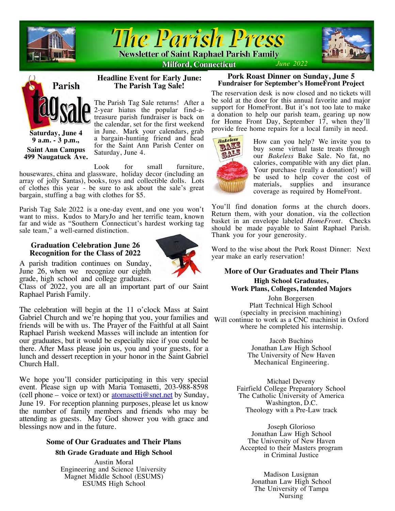



**Headline Event for Early June: The Parish Tag Sale!**

The Parish Tag Sale returns! After a 2-year hiatus the popular find-atreasure parish fundraiser is back on the calendar, set for the first weekend in June. Mark your calendars, grab a bargain-hunting friend and head for the Saint Ann Parish Center on

**Milford, Connecticut** 





**Saturday, June 4 9 a.m. - 3 p.m., Saint Ann Campus 499 Naugatuck Ave.**

Look for small furniture. housewares, china and glassware, holiday decor (including an array of jolly Santas), books, toys and collectible dolls. Lots of clothes this year - be sure to ask about the sale's great bargain, stuffing a bag with clothes for \$5.

Saturday, June 4.

Parish Tag Sale 2022 is a one-day event, and one you won't want to miss. Kudos to MaryJo and her terrific team, known far and wide as "Southern Connecticut's hardest working tag sale team," a well-earned distinction.

# **Graduation Celebration June 26 Recognition for the Class of 2022**



A parish tradition continues on Sunday, June 26, when we recognize our eighth grade, high school and college graduates.

Class of 2022, you are all an important part of our Saint Raphael Parish Family.

The celebration will begin at the 11 o'clock Mass at Saint Gabriel Church and we're hoping that you, your families and friends will be with us. The Prayer of the Faithful at all Saint Raphael Parish weekend Masses will include an intention for our graduates, but it would be especially nice if you could be there. After Mass please join us, you and your guests, for a lunch and dessert reception in your honor in the Saint Gabriel Church Hall.

We hope you'll consider participating in this very special event. Please sign up with Maria Tomasetti, 203-988-8598 (cell phone – voice or text) or atomasetti@snet.net by Sunday, June 19. For reception planning purposes, please let us know the number of family members and friends who may be attending as guests. May God shower you with grace and blessings now and in the future.

# **Some of Our Graduates and Their Plans**

# **8th Grade Graduate and High School**

Austin Moral Engineering and Science University Magnet Middle School (ESUMS) ESUMS High School

## **Pork Roast Dinner on Sunday, June 5 Fundraiser for September's HomeFront Project**

The reservation desk is now closed and no tickets will be sold at the door for this annual favorite and major support for HomeFront. But it's not too late to make a donation to help our parish team, gearing up now for Home Front Day, September 17, when they'll provide free home repairs for a local family in need.



How can you help? We invite you to buy some virtual taste treats through our *Bakeless* Bake Sale. No fat, no calories, compatible with any diet plan. Your purchase (really a donation!) will be used to help cover the cost of materials, supplies and insurance coverage as required by HomeFront.

You'll find donation forms at the church doors. Return them, with your donation, via the collection basket in an envelope labeled *HomeFront.* Checks should be made payable to Saint Raphael Parish. Thank you for your generosity.

Word to the wise about the Pork Roast Dinner: Next year make an early reservation!

# **More of Our Graduates and Their Plans**

**High School Graduates, Work Plans, Colleges, Intended Majors**

John Borgersen Platt Technical High School (specialty in precision machining) Will continue to work as a CNC machinist in Oxford where he completed his internship.

> Jacob Buchino Jonathan Law High School The University of New Haven Mechanical Engineering.

Michael Deveny Fairfield College Preparatory School The Catholic University of America Washington, D.C. Theology with a Pre-Law track

Joseph Glorioso Jonathan Law High School The University of New Haven Accepted to their Masters program in Criminal Justice

> Madison Lusignan Jonathan Law High School The University of Tampa Nursing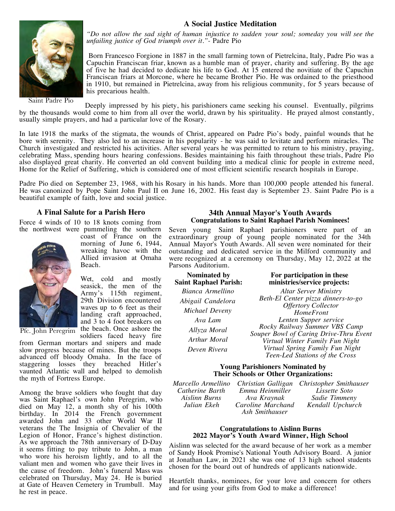# **A Social Justice Meditation**



Saint Padre Pio

*"Do not allow the sad sight of human injustice to sadden your soul; someday you will see the unfailing justice of God triumph over it."-* Padre Pio

Born Francesco Forgione in 1887 in the small farming town of Pietrelcina, Italy, Padre Pio was a Capuchin Franciscan friar, known as a humble man of prayer, charity and suffering. By the age of five he had decided to dedicate his life to God. At 15 entered the novitiate of the Capuchin Franciscan friars at Morcone, where he became Brother Pio. He was ordained to the priesthood in 1910, but remained in Pietrelcina, away from his religious community, for 5 years because of his precarious health.

Deeply impressed by his piety, his parishioners came seeking his counsel. Eventually, pilgrims by the thousands would come to him from all over the world, drawn by his spirituality. He prayed almost constantly, usually simple prayers, and had a particular love of the Rosary.

In late 1918 the marks of the stigmata, the wounds of Christ, appeared on Padre Pio's body, painful wounds that he bore with serenity. They also led to an increase in his popularity - he was said to levitate and perform miracles. The Church investigated and restricted his activities. After several years he was permitted to return to his ministry, praying, celebrating Mass, spending hours hearing confessions. Besides maintaining his faith throughout these trials, Padre Pio also displayed great charity. He converted an old convent building into a medical clinic for people in extreme need, Home for the Relief of Suffering, which is considered one of most efficient scientific research hospitals in Europe.

Padre Pio died on September 23, 1968, with his Rosary in his hands. More than 100,000 people attended his funeral. He was canonized by Pope Saint John Paul II on June 16, 2002. His feast day is September 23. Saint Padre Pio is a beautiful example of faith, love and social justice.

## **A Final Salute for a Parish Hero**

Force 4 winds of 10 to 18 knots coming from the northwest were pummeling the southern



morning of June 6, 1944, wreaking havoc with the Allied invasion at Omaha Beach.

coast of France on the

Wet, cold and mostly seasick, the men of the Army's 115th regiment, 29th Division encountered waves up to 6 feet as their landing craft approached, and 3 to 4 foot breakers on Pfc. John Peregrim the beach. Once ashore the soldiers faced heavy fire

from German mortars and snipers and made slow progress because of mines. But the troops advanced off bloody Omaha. In the face of staggering losses they breached Hitler's vaunted Atlantic wall and helped to demolish the myth of Fortress Europe.

Among the brave soldiers who fought that day was Saint Raphael's own John Peregrim, who died on May 12, a month shy of his 100th birthday. In 2014 the French government awarded John and 33 other World War II veterans the The Insignia of Chevalier of the Legion of Honor, France's highest distinction. As we approach the 78th anniversary of D-Day it seems fitting to pay tribute to John, a man who wore his heroism lightly, and to all the valiant men and women who gave their lives in the cause of freedom. John's funeral Mass was celebrated on Thursday, May 24. He is buried at Gate of Heaven Cemetery in Trumbull. May he rest in peace.

## **34th Annual Mayor's Youth Awards Congratulations to Saint Raphael Parish Nominees!**

Seven young Saint Raphael parishioners were part of an extraordinary group of young people nominated for the 34th Annual Mayor's Youth Awards. All seven were nominated for their outstanding and dedicated service in the Milford community and were recognized at a ceremony on Thursday, May 12, 2022 at the Parsons Auditorium.

| <b>Nominated by</b>   |
|-----------------------|
| Saint Raphael Parish: |
| Bianca Armellino      |
| Abigail Candelora     |
| Michael Deveny        |
| Ava Lam               |
| Allyza Moral          |
| Arthur Moral          |
| Deven Rivera          |
|                       |

## **For participation in these ministries/service projects:**

*Altar Server Ministry Beth-El Center pizza dinners-to-go Offertory Collector HomeFront Lenten Supper service Rocky Railway Summer VBS Camp Souper Bowl of Caring Drive-Thru Event Virtual Winter Family Fun Night Virtual Spring Family Fun Night Teen-Led Stations of the Cross*

## **Young Parishioners Nominated by Their Schools or Other Organizations:**

*Marcello Armellino Catherine Barth Aislinn Burns Julian Ekeh*

*Emma Heinmiller Ava Kraynak Caroline Marchand Ash Smithauser*

*Christian Galligan Christopher Smithauser Lissette Soto Sadie Timmeny Kendall Upchurch*

#### **Congratulations to Aislinn Burns 2022 Mayor's Youth Award Winner, High School**

Aislinn was selected for the award because of her work as a member of Sandy Hook Promise's National Youth Advisory Board. A junior at Jonathan Law, in 2021 she was one of 13 high school students chosen for the board out of hundreds of applicants nationwide.

Heartfelt thanks, nominees, for your love and concern for others and for using your gifts from God to make a difference!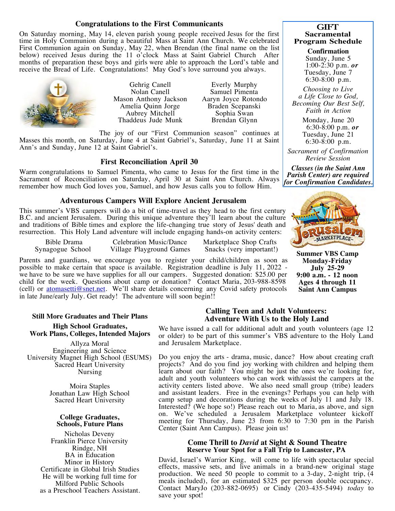## **Congratulations to the First Communicants**

On Saturday morning, May 14, eleven parish young people received Jesus for the first time in Holy Communion during a beautiful Mass at Saint Ann Church. We celebrated First Communion again on Sunday, May 22, when Brendan (the final name on the list below) received Jesus during the 11 o'clock Mass at Saint Gabriel Church After months of preparation these boys and girls were able to approach the Lord's table and receive the Bread of Life. Congratulations! May God's love surround you always.



Gehrig Canell Nolan Canell Mason Anthony Jackson Amelia Quinn Jorge Aubrey Mitchell Thaddeus Jude Munk

Everly Murphy Samuel Pimenta Aaryn Joyce Rotondo Braden Scepanski Sophia Swan Brendan Glynn

The joy of our "First Communion season" continues at Masses this month, on Saturday, June 4 at Saint Gabriel's, Saturday, June 11 at Saint Ann's and Sunday, June 12 at Saint Gabriel's.

## **First Reconciliation April 30**

Warm congratulations to Samuel Pimenta, who came to Jesus for the first time in the Sacrament of Reconciliation on Saturday, April 30 at Saint Ann Church. Always remember how much God loves you, Samuel, and how Jesus calls you to follow Him.

## **Adventurous Campers Will Explore Ancient Jerusalem**

This summer's VBS campers will do a bit of time-travel as they head to the first century B.C. and ancient Jerusalem. During this unique adventure they'll learn about the culture and traditions of Bible times and explore the life-changing true story of Jesus' death and resurrection. This Holy Land adventure will include engaging hands-on activity centers:

Bible Drama Synagogue School Celebration Music/Dance Village Playground Games Marketplace Shop Crafts Snacks (very important!)

Parents and guardians, we encourage you to register your child/children as soon as possible to make certain that space is available. Registration deadline is July 11, 2022 we have to be sure we have supplies for all our campers. Suggested donation: \$25.00 per child for the week. Questions about camp or donation? Contact Maria, 203-988-8598 (cell) or  $\frac{atomasetti@snet.net}{}$ . We'll share details concerning any Covid safety protocols in late June/early July. Get ready! The adventure will soon begin!!

#### **Still More Graduates and Their Plans**

**High School Graduates, Work Plans, Colleges, Intended Majors**

Allyza Moral Engineering and Science University Magnet High School (ESUMS) Sacred Heart University Nursing

> Moira Staples Jonathan Law High School Sacred Heart University

#### **College Graduates, Schools, Future Plans**

Nicholas Deveny Franklin Pierce University Rindge, NH BA in Education Minor in History Certificate in Global Irish Studies He will be working full time for Milford Public Schools as a Preschool Teachers Assistant.

## **Calling Teen and Adult Volunteers: Adventure With Us to the Holy Land**

We have issued a call for additional adult and youth volunteers (age 12 or older) to be part of this summer's VBS adventure to the Holy Land and Jerusalem Marketplace.

Do you enjoy the arts - drama, music, dance? How about creating craft projects? And do you find joy working with children and helping them learn about our faith? You might be just the ones we're looking for, adult and youth volunteers who can work with/assist the campers at the activity centers listed above. We also need small group (tribe) leaders and assistant leaders. Free in the evenings? Perhaps you can help with camp setup and decorations during the weeks of July 11 and July 18. Interested? (We hope so!) Please reach out to Maria, as above, and sign on. We've scheduled a Jerusalem Marketplace volunteer kickoff meeting for Thursday, June 23 from 6:30 to 7:30 pm in the Parish Center (Saint Ann Campus). Please join us!

## **Come Thrill to** *David* **at Sight & Sound Theatre Reserve Your Spot for a Fall Trip to Lancaster, PA**

David, Israel's Warrior King, will come to life with spectacular special effects, massive sets, and live animals in a brand-new original stage production. We need 50 people to commit to a 3-day, 2-night trip,  $\overline{(4)}$ meals included), for an estimated \$325 per person double occupancy. Contact MaryJo (203-882-0695) or Cindy (203-435-5494) *today* to save your spot!

## **GIFT Sacramental Program Schedule**

**Confirmation**<br>Sunday, June 5 1:00-2:30 p.m. *or* Tuesday, June 7 6:30-8:00 p.m.

*Choosing to Live a Life Close to God, Becoming Our Best Self, Faith in Action*

> Monday, June 20 6:30-8:00 p.m. *or* Tuesday, June 21 6:30-8:00 p.m.

*Sacrament of Confirmation Review Session*

*Classes (in the Saint Ann Parish Center) are required for Confirmation Candidates.*



**Summer VBS Camp Monday-Friday July 25-29 9:00 a.m. - 12 noon Ages 4 through 11 Saint Ann Campus**